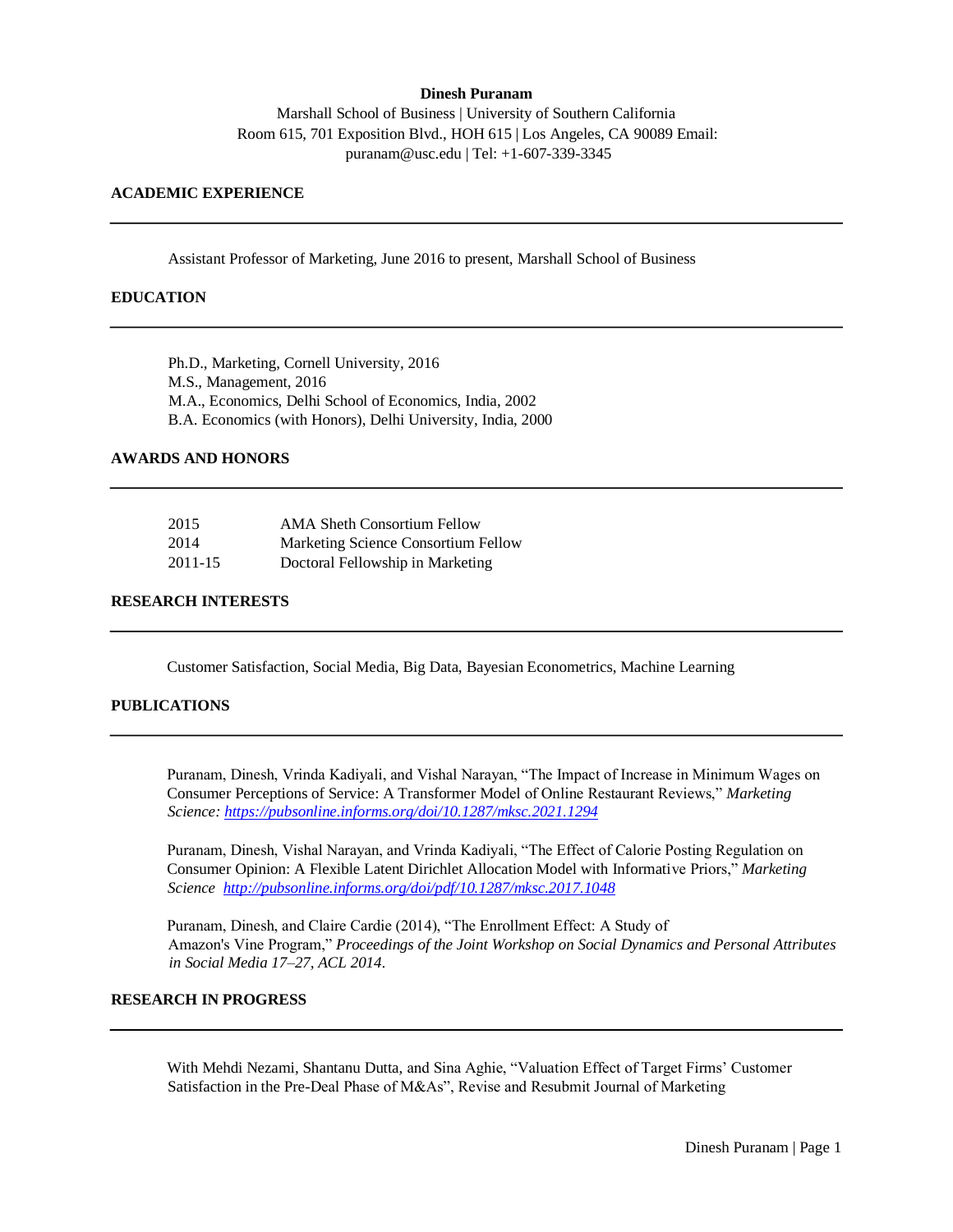#### **Dinesh Puranam**

Marshall School of Business | University of Southern California Room 615, 701 Exposition Blvd., HOH 615 | Los Angeles, CA 90089 Email: puranam@usc.edu | Tel: +1-607-339-3345

### **ACADEMIC EXPERIENCE**

Assistant Professor of Marketing, June 2016 to present, Marshall School of Business

### **EDUCATION**

Ph.D., Marketing, Cornell University, 2016 M.S., Management, 2016 M.A., Economics, Delhi School of Economics, India, 2002 B.A. Economics (with Honors), Delhi University, India, 2000

### **AWARDS AND HONORS**

| 2015    | <b>AMA Sheth Consortium Fellow</b>  |
|---------|-------------------------------------|
| 2014    | Marketing Science Consortium Fellow |
| 2011-15 | Doctoral Fellowship in Marketing    |

## **RESEARCH INTERESTS**

Customer Satisfaction, Social Media, Big Data, Bayesian Econometrics, Machine Learning

## **PUBLICATIONS**

Puranam, Dinesh, Vrinda Kadiyali, and Vishal Narayan, "The Impact of Increase in Minimum Wages on Consumer Perceptions of Service: A Transformer Model of Online Restaurant Reviews," *Marketing Science:<https://pubsonline.informs.org/doi/10.1287/mksc.2021.1294>*

Puranam, Dinesh, Vishal Narayan, and Vrinda Kadiyali, "The Effect of Calorie Posting Regulation on Consumer Opinion: A Flexible Latent Dirichlet Allocation Model with Informative Priors," *Marketing Science<http://pubsonline.informs.org/doi/pdf/10.1287/mksc.2017.1048>*

Puranam, Dinesh, and Claire Cardie (2014), "The Enrollment Effect: A Study of Amazon's Vine Program," *Proceedings of the Joint Workshop on Social Dynamics and Personal Attributes in Social Media 17–27, ACL 2014*.

# **RESEARCH IN PROGRESS**

With Mehdi Nezami, Shantanu Dutta, and Sina Aghie, "Valuation Effect of Target Firms' Customer Satisfaction in the Pre-Deal Phase of M&As", Revise and Resubmit Journal of Marketing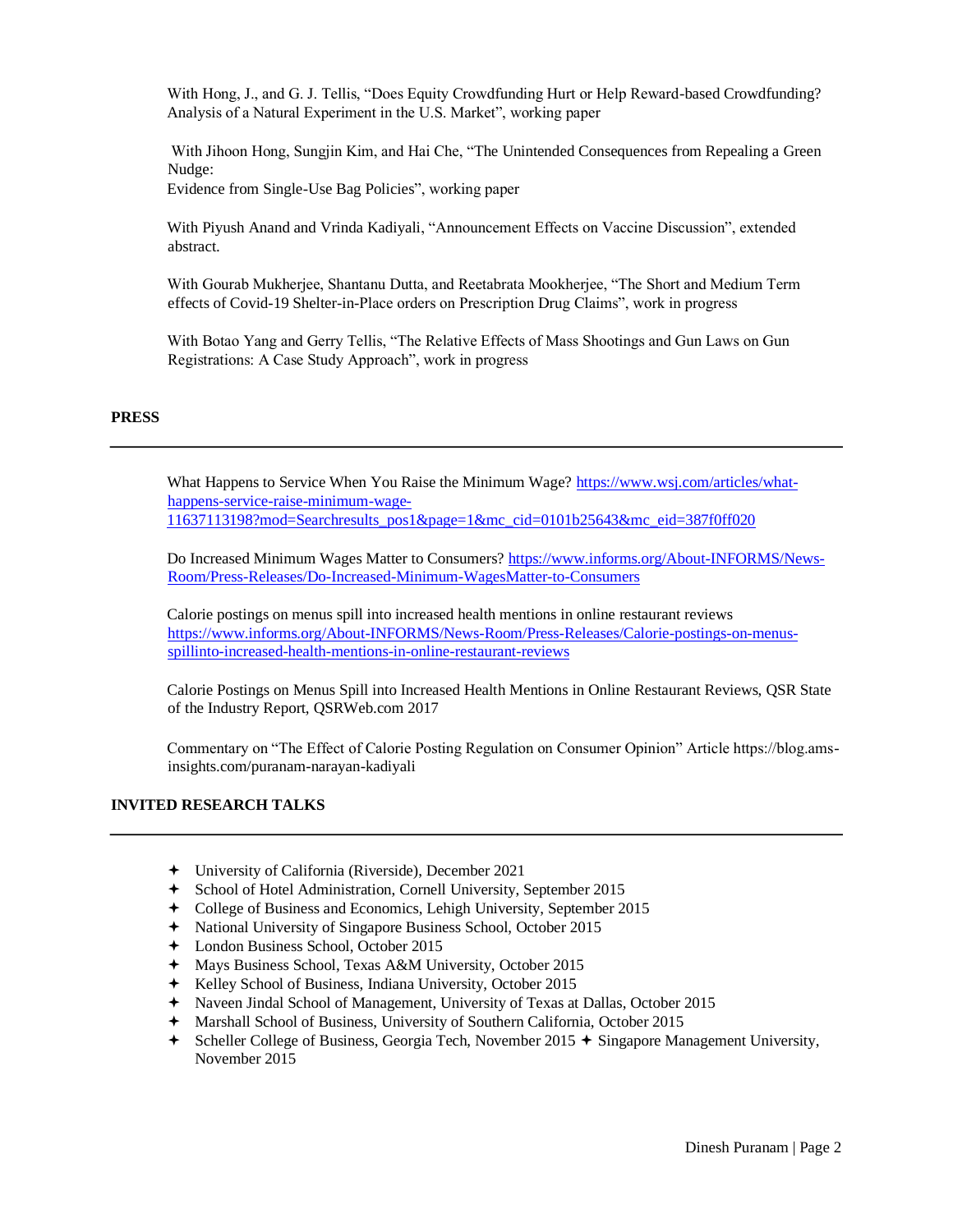With Hong, J., and G. J. Tellis, "Does Equity Crowdfunding Hurt or Help Reward-based Crowdfunding? Analysis of a Natural Experiment in the U.S. Market", working paper

With Jihoon Hong, Sungjin Kim, and Hai Che, "The Unintended Consequences from Repealing a Green Nudge:

Evidence from Single-Use Bag Policies", working paper

With Piyush Anand and Vrinda Kadiyali, "Announcement Effects on Vaccine Discussion", extended abstract.

With Gourab Mukherjee, Shantanu Dutta, and Reetabrata Mookherjee, "The Short and Medium Term effects of Covid-19 Shelter-in-Place orders on Prescription Drug Claims", work in progress

With Botao Yang and Gerry Tellis, "The Relative Effects of Mass Shootings and Gun Laws on Gun Registrations: A Case Study Approach", work in progress

### **PRESS**

What Happens to Service When You Raise the Minimum Wage? [https://www.wsj.com/articles/what](https://www.wsj.com/articles/what-happens-service-raise-minimum-wage-11637113198?mod=Searchresults_pos1&page=1&mc_cid=0101b25643&mc_eid=387f0ff020)[happens-service-raise-minimum-wage-](https://www.wsj.com/articles/what-happens-service-raise-minimum-wage-11637113198?mod=Searchresults_pos1&page=1&mc_cid=0101b25643&mc_eid=387f0ff020)[11637113198?mod=Searchresults\\_pos1&page=1&mc\\_cid=0101b25643&mc\\_eid=387f0ff020](https://www.wsj.com/articles/what-happens-service-raise-minimum-wage-11637113198?mod=Searchresults_pos1&page=1&mc_cid=0101b25643&mc_eid=387f0ff020)

Do Increased Minimum Wages Matter to Consumers? https://www.informs.org/About-INFORMS/News-Room/Press-Releases/Do-Increased-Minimum-WagesMatter-to-Consumers

Calorie postings on menus spill into increased health mentions in online restaurant reviews [https://www.informs.org/About-INFORMS/News-Room/Press-Releases/Calorie-postings-on-menus](https://www.informs.org/About-INFORMS/News-Room/Press-Releases/Calorie-postings-on-menus-spill-into-increased-health-mentions-in-online-restaurant-reviews)[spillinto-increased-health-mentions-in-online-restaurant-reviews](https://www.informs.org/About-INFORMS/News-Room/Press-Releases/Calorie-postings-on-menus-spill-into-increased-health-mentions-in-online-restaurant-reviews)

Calorie Postings on Menus Spill into Increased Health Mentions in Online Restaurant Reviews, QSR State of the Industry Report, QSRWeb.com 2017

Commentary on "The Effect of Calorie Posting Regulation on Consumer Opinion" Article https://blog.amsinsights.com/puranam-narayan-kadiyali

### **INVITED RESEARCH TALKS**

- University of California (Riverside), December 2021
- School of Hotel Administration, Cornell University, September 2015
- College of Business and Economics, Lehigh University, September 2015
- National University of Singapore Business School, October 2015
- London Business School, October 2015
- Mays Business School, Texas A&M University, October 2015
- Kelley School of Business, Indiana University, October 2015
- Naveen Jindal School of Management, University of Texas at Dallas, October 2015
- Marshall School of Business, University of Southern California, October 2015
- $\div$  Scheller College of Business, Georgia Tech, November 2015  $\div$  Singapore Management University, November 2015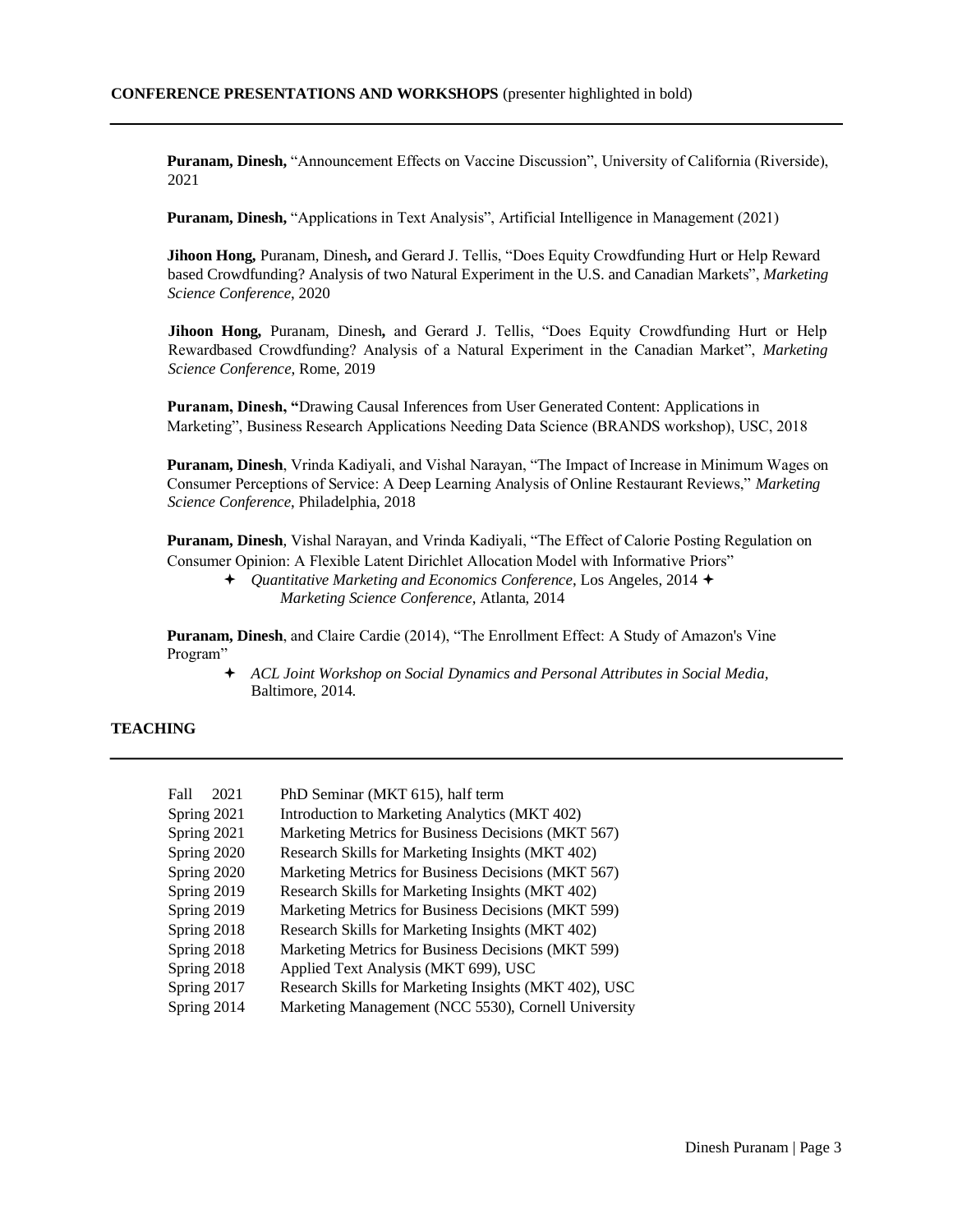**Puranam, Dinesh,** "Announcement Effects on Vaccine Discussion", University of California (Riverside), 2021

**Puranam, Dinesh,** "Applications in Text Analysis", Artificial Intelligence in Management (2021)

**Jihoon Hong,** Puranam, Dinesh**,** and Gerard J. Tellis, "Does Equity Crowdfunding Hurt or Help Reward based Crowdfunding? Analysis of two Natural Experiment in the U.S. and Canadian Markets", *Marketing Science Conference*, 2020

**Jihoon Hong,** Puranam, Dinesh**,** and Gerard J. Tellis, "Does Equity Crowdfunding Hurt or Help Rewardbased Crowdfunding? Analysis of a Natural Experiment in the Canadian Market", *Marketing Science Conference*, Rome, 2019

**Puranam, Dinesh, "**Drawing Causal Inferences from User Generated Content: Applications in Marketing", Business Research Applications Needing Data Science (BRANDS workshop), USC, 2018

**Puranam, Dinesh**, Vrinda Kadiyali, and Vishal Narayan, "The Impact of Increase in Minimum Wages on Consumer Perceptions of Service: A Deep Learning Analysis of Online Restaurant Reviews," *Marketing Science Conference*, Philadelphia, 2018

**Puranam, Dinesh**, Vishal Narayan, and Vrinda Kadiyali, "The Effect of Calorie Posting Regulation on Consumer Opinion: A Flexible Latent Dirichlet Allocation Model with Informative Priors"

**Puranam, Dinesh**, and Claire Cardie (2014), "The Enrollment Effect: A Study of Amazon's Vine Program"

 *ACL Joint Workshop on Social Dynamics and Personal Attributes in Social Media,* Baltimore, 2014.

## **TEACHING**

| Fall<br>2021 | PhD Seminar (MKT 615), half term                      |
|--------------|-------------------------------------------------------|
| Spring 2021  | Introduction to Marketing Analytics (MKT 402)         |
| Spring 2021  | Marketing Metrics for Business Decisions (MKT 567)    |
| Spring 2020  | Research Skills for Marketing Insights (MKT 402)      |
| Spring 2020  | Marketing Metrics for Business Decisions (MKT 567)    |
| Spring 2019  | Research Skills for Marketing Insights (MKT 402)      |
| Spring 2019  | Marketing Metrics for Business Decisions (MKT 599)    |
| Spring 2018  | Research Skills for Marketing Insights (MKT 402)      |
| Spring 2018  | Marketing Metrics for Business Decisions (MKT 599)    |
| Spring 2018  | Applied Text Analysis (MKT 699), USC                  |
| Spring 2017  | Research Skills for Marketing Insights (MKT 402), USC |
| Spring 2014  | Marketing Management (NCC 5530), Cornell University   |

*Quantitative Marketing and Economics Conference*, Los Angeles, 2014 *Marketing Science Conference*, Atlanta, 2014